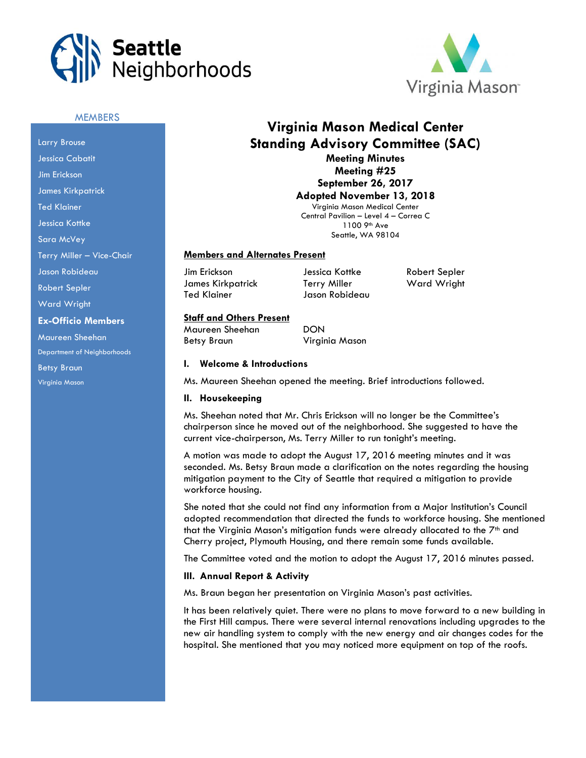



# **MEMBERS**

Larry Brouse Jessica Cabatit Jim Erickson James Kirkpatrick Ted Klainer Jessica Kottke Sara McVey Terry Miller – Vice-Chair Jason Robideau Robert Sepler Ward Wright **Ex-Officio Members** Maureen Sheehan Department of Neighborhoods Betsy Braun Virginia Mason

# **Virginia Mason Medical Center Standing Advisory Committee (SAC) Meeting Minutes**

**Meeting #25 September 26, 2017**

**Adopted November 13, 2018** Virginia Mason Medical Center Central Pavilion – Level 4 – Correa C 1100 9th Ave

Seattle, WA 98104

#### **Members and Alternates Present**

Jim Erickson Jessica Kottke Robert Sepler James Kirkpatrick Terry Miller Ward Wright Ted Klainer Jason Robideau

# **Staff and Others Present**

Maureen Sheehan DON Betsy Braun Virginia Mason

#### **I. Welcome & Introductions**

Ms. Maureen Sheehan opened the meeting. Brief introductions followed.

#### **II. Housekeeping**

Ms. Sheehan noted that Mr. Chris Erickson will no longer be the Committee's chairperson since he moved out of the neighborhood. She suggested to have the current vice-chairperson, Ms. Terry Miller to run tonight's meeting.

A motion was made to adopt the August 17, 2016 meeting minutes and it was seconded. Ms. Betsy Braun made a clarification on the notes regarding the housing mitigation payment to the City of Seattle that required a mitigation to provide workforce housing.

She noted that she could not find any information from a Major Institution's Council adopted recommendation that directed the funds to workforce housing. She mentioned that the Virginia Mason's mitigation funds were already allocated to the  $7<sup>th</sup>$  and Cherry project, Plymouth Housing, and there remain some funds available.

The Committee voted and the motion to adopt the August 17, 2016 minutes passed.

#### **III. Annual Report & Activity**

Ms. Braun began her presentation on Virginia Mason's past activities.

It has been relatively quiet. There were no plans to move forward to a new building in the First Hill campus. There were several internal renovations including upgrades to the new air handling system to comply with the new energy and air changes codes for the hospital. She mentioned that you may noticed more equipment on top of the roofs.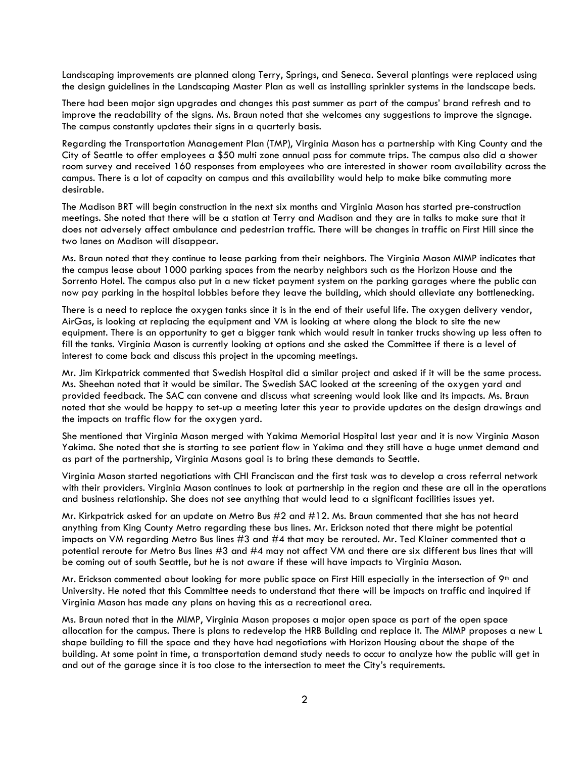Landscaping improvements are planned along Terry, Springs, and Seneca. Several plantings were replaced using the design guidelines in the Landscaping Master Plan as well as installing sprinkler systems in the landscape beds.

There had been major sign upgrades and changes this past summer as part of the campus' brand refresh and to improve the readability of the signs. Ms. Braun noted that she welcomes any suggestions to improve the signage. The campus constantly updates their signs in a quarterly basis.

Regarding the Transportation Management Plan (TMP), Virginia Mason has a partnership with King County and the City of Seattle to offer employees a \$50 multi zone annual pass for commute trips. The campus also did a shower room survey and received 160 responses from employees who are interested in shower room availability across the campus. There is a lot of capacity on campus and this availability would help to make bike commuting more desirable.

The Madison BRT will begin construction in the next six months and Virginia Mason has started pre-construction meetings. She noted that there will be a station at Terry and Madison and they are in talks to make sure that it does not adversely affect ambulance and pedestrian traffic. There will be changes in traffic on First Hill since the two lanes on Madison will disappear.

Ms. Braun noted that they continue to lease parking from their neighbors. The Virginia Mason MIMP indicates that the campus lease about 1000 parking spaces from the nearby neighbors such as the Horizon House and the Sorrento Hotel. The campus also put in a new ticket payment system on the parking garages where the public can now pay parking in the hospital lobbies before they leave the building, which should alleviate any bottlenecking.

There is a need to replace the oxygen tanks since it is in the end of their useful life. The oxygen delivery vendor, AirGas, is looking at replacing the equipment and VM is looking at where along the block to site the new equipment. There is an opportunity to get a bigger tank which would result in tanker trucks showing up less often to fill the tanks. Virginia Mason is currently looking at options and she asked the Committee if there is a level of interest to come back and discuss this project in the upcoming meetings.

Mr. Jim Kirkpatrick commented that Swedish Hospital did a similar project and asked if it will be the same process. Ms. Sheehan noted that it would be similar. The Swedish SAC looked at the screening of the oxygen yard and provided feedback. The SAC can convene and discuss what screening would look like and its impacts. Ms. Braun noted that she would be happy to set-up a meeting later this year to provide updates on the design drawings and the impacts on traffic flow for the oxygen yard.

She mentioned that Virginia Mason merged with Yakima Memorial Hospital last year and it is now Virginia Mason Yakima. She noted that she is starting to see patient flow in Yakima and they still have a huge unmet demand and as part of the partnership, Virginia Masons goal is to bring these demands to Seattle.

Virginia Mason started negotiations with CHI Franciscan and the first task was to develop a cross referral network with their providers. Virginia Mason continues to look at partnership in the region and these are all in the operations and business relationship. She does not see anything that would lead to a significant facilities issues yet.

Mr. Kirkpatrick asked for an update on Metro Bus #2 and #12. Ms. Braun commented that she has not heard anything from King County Metro regarding these bus lines. Mr. Erickson noted that there might be potential impacts on VM regarding Metro Bus lines #3 and #4 that may be rerouted. Mr. Ted Klainer commented that a potential reroute for Metro Bus lines #3 and #4 may not affect VM and there are six different bus lines that will be coming out of south Seattle, but he is not aware if these will have impacts to Virginia Mason.

Mr. Erickson commented about looking for more public space on First Hill especially in the intersection of  $9<sup>th</sup>$  and University. He noted that this Committee needs to understand that there will be impacts on traffic and inquired if Virginia Mason has made any plans on having this as a recreational area.

Ms. Braun noted that in the MIMP, Virginia Mason proposes a major open space as part of the open space allocation for the campus. There is plans to redevelop the HRB Building and replace it. The MIMP proposes a new L shape building to fill the space and they have had negotiations with Horizon Housing about the shape of the building. At some point in time, a transportation demand study needs to occur to analyze how the public will get in and out of the garage since it is too close to the intersection to meet the City's requirements.